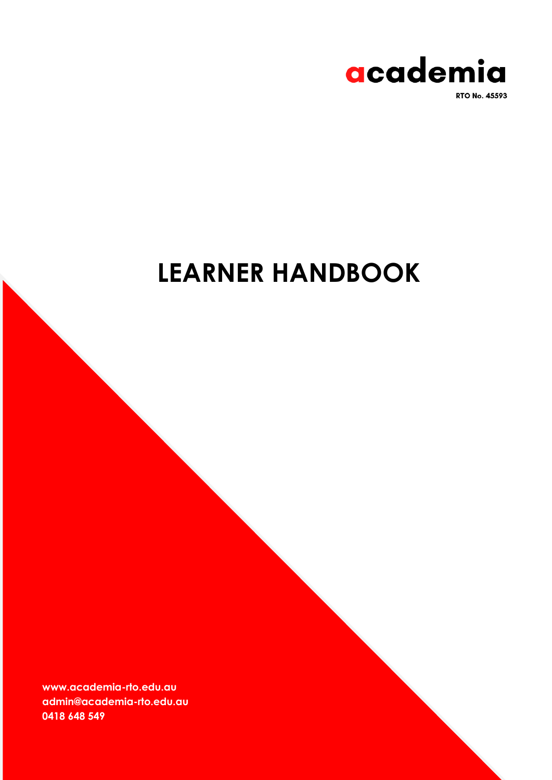

**RTO No. 45593** 

# **LEARNER HANDBOOK**

**www.academia-rto.edu.au admin@academia-rto.edu.au 0418 648 549**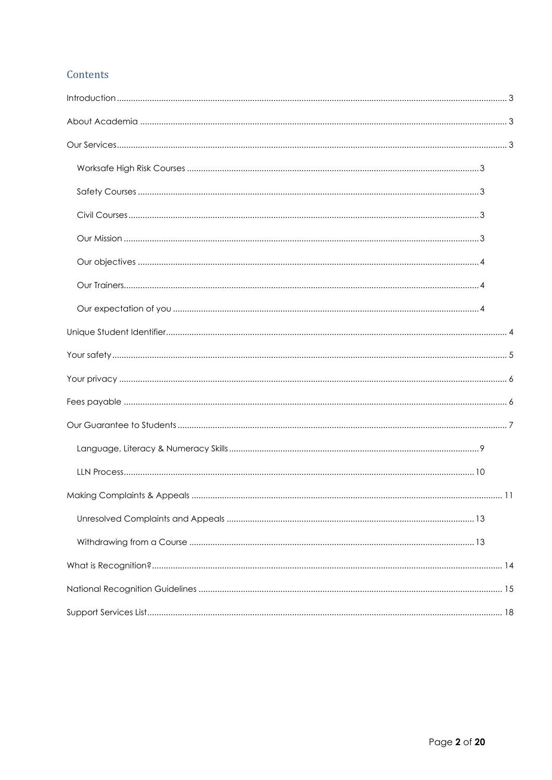# Contents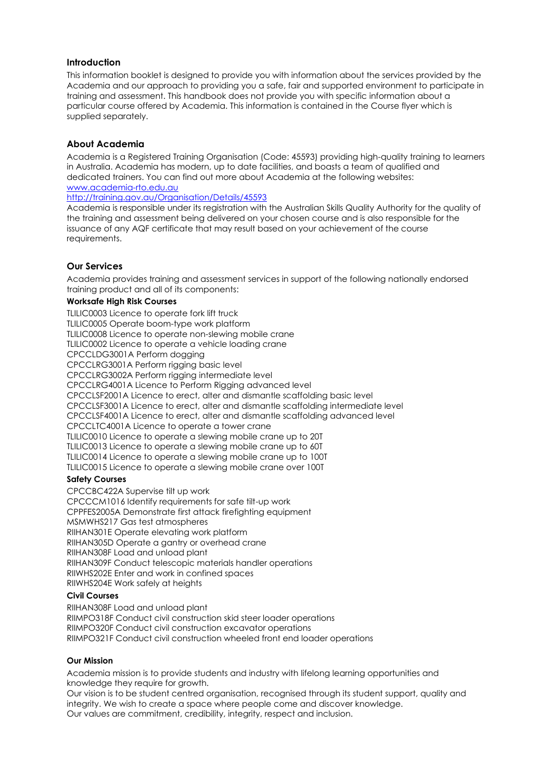# <span id="page-2-0"></span>**Introduction**

This information booklet is designed to provide you with information about the services provided by the Academia and our approach to providing you a safe, fair and supported environment to participate in training and assessment. This handbook does not provide you with specific information about a particular course offered by Academia. This information is contained in the Course flyer which is supplied separately.

# <span id="page-2-1"></span>**About Academia**

Academia is a Registered Training Organisation (Code: 45593) providing high-quality training to learners in Australia. Academia has modern, up to date facilities, and boasts a team of qualified and dedicated trainers. You can find out more about Academia at the following websites: [www.academia-rto.edu.au](http://www.academia-rto.edu.au/)

[http://training.gov.au/Organisation/Details/45593](http://training.gov.au/Organisation/Details/45027)

Academia is responsible under its registration with the Australian Skills Quality Authority for the quality of the training and assessment being delivered on your chosen course and is also responsible for the issuance of any AQF certificate that may result based on your achievement of the course requirements.

# <span id="page-2-2"></span>**Our Services**

Academia provides training and assessment services in support of the following nationally endorsed training product and all of its components:

#### <span id="page-2-3"></span>**Worksafe High Risk Courses**

TLILIC0003 Licence to operate fork lift truck TLILIC0005 Operate boom-type work platform TLILIC0008 Licence to operate non-slewing mobile crane TLILIC0002 Licence to operate a vehicle loading crane CPCCLDG3001A Perform dogging CPCCLRG3001A Perform rigging basic level CPCCLRG3002A Perform rigging intermediate level CPCCLRG4001A Licence to Perform Rigging advanced level CPCCLSF2001A Licence to erect, alter and dismantle scaffolding basic level CPCCLSF3001A Licence to erect, alter and dismantle scaffolding intermediate level CPCCLSF4001A Licence to erect, alter and dismantle scaffolding advanced level CPCCLTC4001A Licence to operate a tower crane TLILIC0010 Licence to operate a slewing mobile crane up to 20T TLILIC0013 Licence to operate a slewing mobile crane up to 60T TLILIC0014 Licence to operate a slewing mobile crane up to 100T TLILIC0015 Licence to operate a slewing mobile crane over 100T

#### <span id="page-2-4"></span>**Safety Courses**

CPCCBC422A Supervise tilt up work CPCCCM1016 Identify requirements for safe tilt-up work CPPFES2005A Demonstrate first attack firefighting equipment MSMWHS217 Gas test atmospheres RIIHAN301E Operate elevating work platform RIIHAN305D Operate a gantry or overhead crane RIIHAN308F Load and unload plant RIIHAN309F Conduct telescopic materials handler operations RIIWHS202E Enter and work in confined spaces RIIWHS204E Work safely at heights

#### <span id="page-2-5"></span>**Civil Courses**

RIIHAN308F Load and unload plant RIIMPO318F Conduct civil construction skid steer loader operations RIIMPO320F Conduct civil construction excavator operations RIIMPO321F Conduct civil construction wheeled front end loader operations

#### <span id="page-2-6"></span>**Our Mission**

Academia mission is to provide students and industry with lifelong learning opportunities and knowledge they require for growth.

Our vision is to be student centred organisation, recognised through its student support, quality and integrity. We wish to create a space where people come and discover knowledge. Our values are commitment, credibility, integrity, respect and inclusion.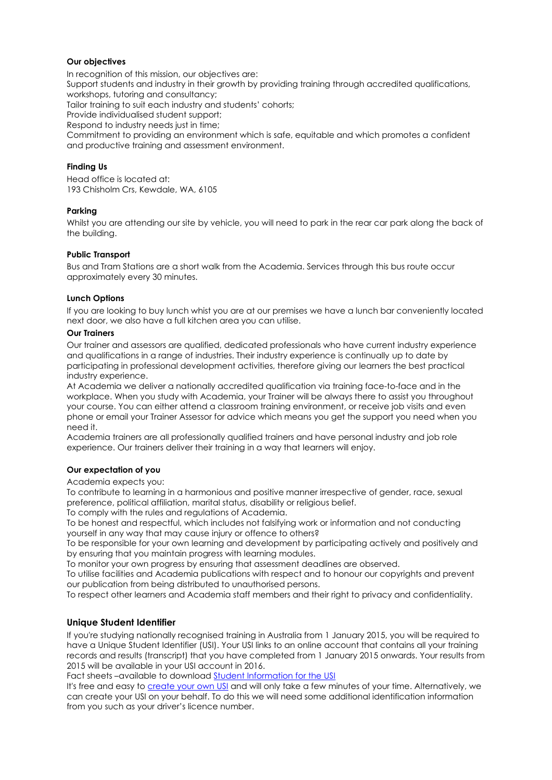#### <span id="page-3-0"></span>**Our objectives**

In recognition of this mission, our objectives are: Support students and industry in their growth by providing training through accredited qualifications, workshops, tutoring and consultancy; Tailor training to suit each industry and students' cohorts; Provide individualised student support; Respond to industry needs just in time; Commitment to providing an environment which is safe, equitable and which promotes a confident and productive training and assessment environment.

#### **Finding Us**

Head office is located at: 193 Chisholm Crs, Kewdale, WA, 6105

#### **Parking**

Whilst you are attending our site by vehicle, you will need to park in the rear car park along the back of the building.

#### **Public Transport**

Bus and Tram Stations are a short walk from the Academia. Services through this bus route occur approximately every 30 minutes.

#### **Lunch Options**

If you are looking to buy lunch whist you are at our premises we have a lunch bar conveniently located next door, we also have a full kitchen area you can utilise.

#### <span id="page-3-1"></span>**Our Trainers**

Our trainer and assessors are qualified, dedicated professionals who have current industry experience and qualifications in a range of industries. Their industry experience is continually up to date by participating in professional development activities, therefore giving our learners the best practical industry experience.

At Academia we deliver a nationally accredited qualification via training face-to-face and in the workplace. When you study with Academia, your Trainer will be always there to assist you throughout your course. You can either attend a classroom training environment, or receive job visits and even phone or email your Trainer Assessor for advice which means you get the support you need when you need it.

Academia trainers are all professionally qualified trainers and have personal industry and job role experience. Our trainers deliver their training in a way that learners will enjoy.

#### <span id="page-3-2"></span>**Our expectation of you**

Academia expects you:

To contribute to learning in a harmonious and positive manner irrespective of gender, race, sexual preference, political affiliation, marital status, disability or religious belief.

To comply with the rules and regulations of Academia.

To be honest and respectful, which includes not falsifying work or information and not conducting yourself in any way that may cause injury or offence to others?

To be responsible for your own learning and development by participating actively and positively and by ensuring that you maintain progress with learning modules.

To monitor your own progress by ensuring that assessment deadlines are observed.

To utilise facilities and Academia publications with respect and to honour our copyrights and prevent our publication from being distributed to unauthorised persons.

<span id="page-3-3"></span>To respect other learners and Academia staff members and their right to privacy and confidentiality.

#### **Unique Student Identifier**

If you're studying nationally recognised training in Australia from 1 January 2015, you will be required to have a Unique Student Identifier (USI). Your USI links to an online account that contains all your training records and results (transcript) that you have completed from 1 January 2015 onwards. Your results from 2015 will be available in your USI account in 2016.

Fact sheets –available to download [Student Information for the USI](http://www.usi.gov.au/Training-Organisations/Documents/FactSheet-Student-Information-for-the-USI.pdf)

It's free and easy to [create your own USI](http://www.usi.gov.au/create-your-USI/Pages/default.aspx) and will only take a few minutes of your time. Alternatively, we can create your USI on your behalf. To do this we will need some additional identification information from you such as your driver's licence number.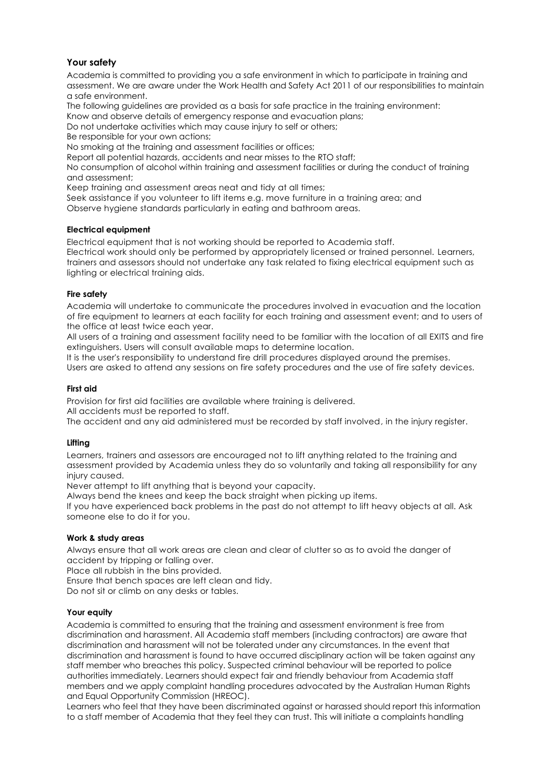# <span id="page-4-0"></span>**Your safety**

Academia is committed to providing you a safe environment in which to participate in training and assessment. We are aware under the Work Health and Safety Act 2011 of our responsibilities to maintain a safe environment.

The following guidelines are provided as a basis for safe practice in the training environment: Know and observe details of emergency response and evacuation plans;

Do not undertake activities which may cause injury to self or others;

Be responsible for your own actions;

No smoking at the training and assessment facilities or offices;

Report all potential hazards, accidents and near misses to the RTO staff;

No consumption of alcohol within training and assessment facilities or during the conduct of training and assessment;

Keep training and assessment areas neat and tidy at all times;

Seek assistance if you volunteer to lift items e.g. move furniture in a training area; and Observe hygiene standards particularly in eating and bathroom areas.

# **Electrical equipment**

Electrical equipment that is not working should be reported to Academia staff. Electrical work should only be performed by appropriately licensed or trained personnel. Learners, trainers and assessors should not undertake any task related to fixing electrical equipment such as lighting or electrical training aids.

# **Fire safety**

Academia will undertake to communicate the procedures involved in evacuation and the location of fire equipment to learners at each facility for each training and assessment event; and to users of the office at least twice each year.

All users of a training and assessment facility need to be familiar with the location of all EXITS and fire extinguishers. Users will consult available maps to determine location.

It is the user's responsibility to understand fire drill procedures displayed around the premises. Users are asked to attend any sessions on fire safety procedures and the use of fire safety devices.

#### **First aid**

Provision for first aid facilities are available where training is delivered.

All accidents must be reported to staff.

The accident and any aid administered must be recorded by staff involved, in the injury register.

# **Lifting**

Learners, trainers and assessors are encouraged not to lift anything related to the training and assessment provided by Academia unless they do so voluntarily and taking all responsibility for any injury caused.

Never attempt to lift anything that is beyond your capacity.

Always bend the knees and keep the back straight when picking up items.

If you have experienced back problems in the past do not attempt to lift heavy objects at all. Ask someone else to do it for you.

#### **Work & study areas**

Always ensure that all work areas are clean and clear of clutter so as to avoid the danger of accident by tripping or falling over.

Place all rubbish in the bins provided.

Ensure that bench spaces are left clean and tidy.

Do not sit or climb on any desks or tables.

#### **Your equity**

Academia is committed to ensuring that the training and assessment environment is free from discrimination and harassment. All Academia staff members (including contractors) are aware that discrimination and harassment will not be tolerated under any circumstances. In the event that discrimination and harassment is found to have occurred disciplinary action will be taken against any staff member who breaches this policy. Suspected criminal behaviour will be reported to police authorities immediately. Learners should expect fair and friendly behaviour from Academia staff members and we apply complaint handling procedures advocated by the Australian Human Rights and Equal Opportunity Commission (HREOC).

Learners who feel that they have been discriminated against or harassed should report this information to a staff member of Academia that they feel they can trust. This will initiate a complaints handling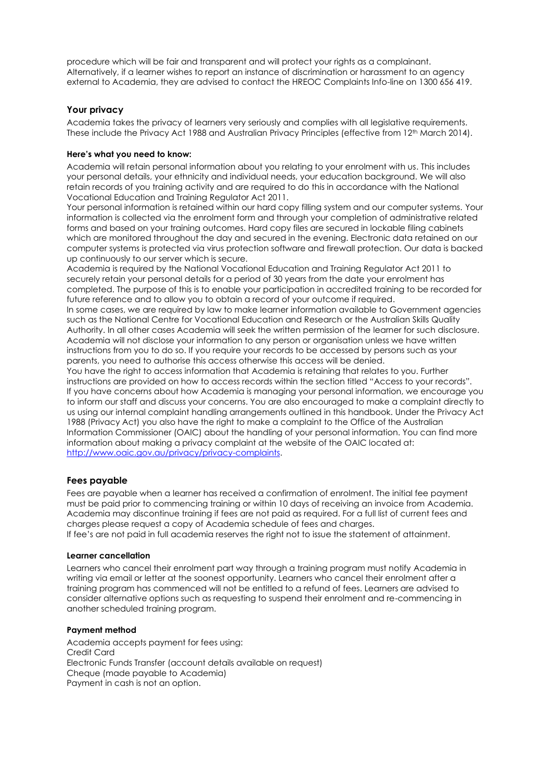procedure which will be fair and transparent and will protect your rights as a complainant. Alternatively, if a learner wishes to report an instance of discrimination or harassment to an agency external to Academia, they are advised to contact the HREOC Complaints Info-line on 1300 656 419.

# <span id="page-5-0"></span>**Your privacy**

Academia takes the privacy of learners very seriously and complies with all legislative requirements. These include the Privacy Act 1988 and Australian Privacy Principles (effective from 12<sup>th</sup> March 2014).

#### **Here's what you need to know:**

Academia will retain personal information about you relating to your enrolment with us. This includes your personal details, your ethnicity and individual needs, your education background. We will also retain records of you training activity and are required to do this in accordance with the National Vocational Education and Training Regulator Act 2011.

Your personal information is retained within our hard copy filling system and our computer systems. Your information is collected via the enrolment form and through your completion of administrative related forms and based on your training outcomes. Hard copy files are secured in lockable filing cabinets which are monitored throughout the day and secured in the evening. Electronic data retained on our computer systems is protected via virus protection software and firewall protection. Our data is backed up continuously to our server which is secure.

Academia is required by the National Vocational Education and Training Regulator Act 2011 to securely retain your personal details for a period of 30 years from the date your enrolment has completed. The purpose of this is to enable your participation in accredited training to be recorded for future reference and to allow you to obtain a record of your outcome if required.

In some cases, we are required by law to make learner information available to Government agencies such as the National Centre for Vocational Education and Research or the Australian Skills Quality Authority. In all other cases Academia will seek the written permission of the learner for such disclosure. Academia will not disclose your information to any person or organisation unless we have written instructions from you to do so. If you require your records to be accessed by persons such as your parents, you need to authorise this access otherwise this access will be denied.

You have the right to access information that Academia is retaining that relates to you. Further instructions are provided on how to access records within the section titled "Access to your records". If you have concerns about how Academia is managing your personal information, we encourage you to inform our staff and discuss your concerns. You are also encouraged to make a complaint directly to us using our internal complaint handling arrangements outlined in this handbook. Under the Privacy Act 1988 (Privacy Act) you also have the right to make a complaint to the Office of the Australian Information Commissioner (OAIC) about the handling of your personal information. You can find more information about making a privacy complaint at the website of the OAIC located at: [http://www.oaic.gov.au/privacy/privacy-complaints.](http://www.oaic.gov.au/privacy/privacy-complaints)

#### <span id="page-5-1"></span>**Fees payable**

Fees are payable when a learner has received a confirmation of enrolment. The initial fee payment must be paid prior to commencing training or within 10 days of receiving an invoice from Academia. Academia may discontinue training if fees are not paid as required. For a full list of current fees and charges please request a copy of Academia schedule of fees and charges.

If fee's are not paid in full academia reserves the right not to issue the statement of attainment.

#### **Learner cancellation**

Learners who cancel their enrolment part way through a training program must notify Academia in writing via email or letter at the soonest opportunity. Learners who cancel their enrolment after a training program has commenced will not be entitled to a refund of fees. Learners are advised to consider alternative options such as requesting to suspend their enrolment and re-commencing in another scheduled training program.

#### **Payment method**

Academia accepts payment for fees using: Credit Card Electronic Funds Transfer (account details available on request) Cheque (made payable to Academia) Payment in cash is not an option.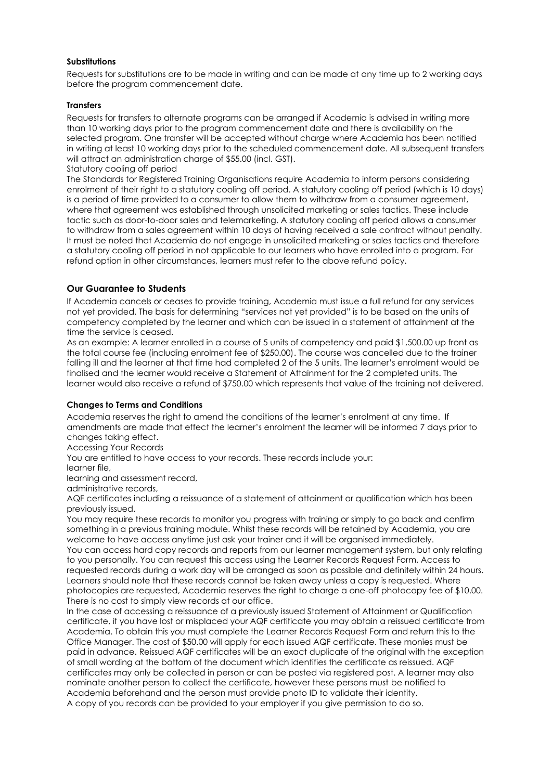#### **Substitutions**

Requests for substitutions are to be made in writing and can be made at any time up to 2 working days before the program commencement date.

#### **Transfers**

Requests for transfers to alternate programs can be arranged if Academia is advised in writing more than 10 working days prior to the program commencement date and there is availability on the selected program. One transfer will be accepted without charge where Academia has been notified in writing at least 10 working days prior to the scheduled commencement date. All subsequent transfers will attract an administration charge of \$55.00 (incl. GST). Statutory cooling off period

The Standards for Registered Training Organisations require Academia to inform persons considering enrolment of their right to a statutory cooling off period. A statutory cooling off period (which is 10 days) is a period of time provided to a consumer to allow them to withdraw from a consumer agreement, where that agreement was established through unsolicited marketing or sales tactics. These include tactic such as door-to-door sales and telemarketing. A statutory cooling off period allows a consumer to withdraw from a sales agreement within 10 days of having received a sale contract without penalty. It must be noted that Academia do not engage in unsolicited marketing or sales tactics and therefore a statutory cooling off period in not applicable to our learners who have enrolled into a program. For refund option in other circumstances, learners must refer to the above refund policy.

# <span id="page-6-0"></span>**Our Guarantee to Students**

If Academia cancels or ceases to provide training, Academia must issue a full refund for any services not yet provided. The basis for determining "services not yet provided" is to be based on the units of competency completed by the learner and which can be issued in a statement of attainment at the time the service is ceased.

As an example: A learner enrolled in a course of 5 units of competency and paid \$1,500.00 up front as the total course fee (including enrolment fee of \$250.00). The course was cancelled due to the trainer falling ill and the learner at that time had completed 2 of the 5 units. The learner's enrolment would be finalised and the learner would receive a Statement of Attainment for the 2 completed units. The learner would also receive a refund of \$750.00 which represents that value of the training not delivered.

#### **Changes to Terms and Conditions**

Academia reserves the right to amend the conditions of the learner's enrolment at any time. If amendments are made that effect the learner's enrolment the learner will be informed 7 days prior to changes taking effect.

Accessing Your Records

You are entitled to have access to your records. These records include your:

learner file,

learning and assessment record,

administrative records,

AQF certificates including a reissuance of a statement of attainment or qualification which has been previously issued.

You may require these records to monitor you progress with training or simply to go back and confirm something in a previous training module. Whilst these records will be retained by Academia, you are welcome to have access anytime just ask your trainer and it will be organised immediately.

You can access hard copy records and reports from our learner management system, but only relating to you personally. You can request this access using the Learner Records Request Form. Access to requested records during a work day will be arranged as soon as possible and definitely within 24 hours. Learners should note that these records cannot be taken away unless a copy is requested. Where photocopies are requested, Academia reserves the right to charge a one-off photocopy fee of \$10.00. There is no cost to simply view records at our office.

In the case of accessing a reissuance of a previously issued Statement of Attainment or Qualification certificate, if you have lost or misplaced your AQF certificate you may obtain a reissued certificate from Academia. To obtain this you must complete the Learner Records Request Form and return this to the Office Manager. The cost of \$50.00 will apply for each issued AQF certificate. These monies must be paid in advance. Reissued AQF certificates will be an exact duplicate of the original with the exception of small wording at the bottom of the document which identifies the certificate as reissued. AQF certificates may only be collected in person or can be posted via registered post. A learner may also nominate another person to collect the certificate, however these persons must be notified to Academia beforehand and the person must provide photo ID to validate their identity. A copy of you records can be provided to your employer if you give permission to do so.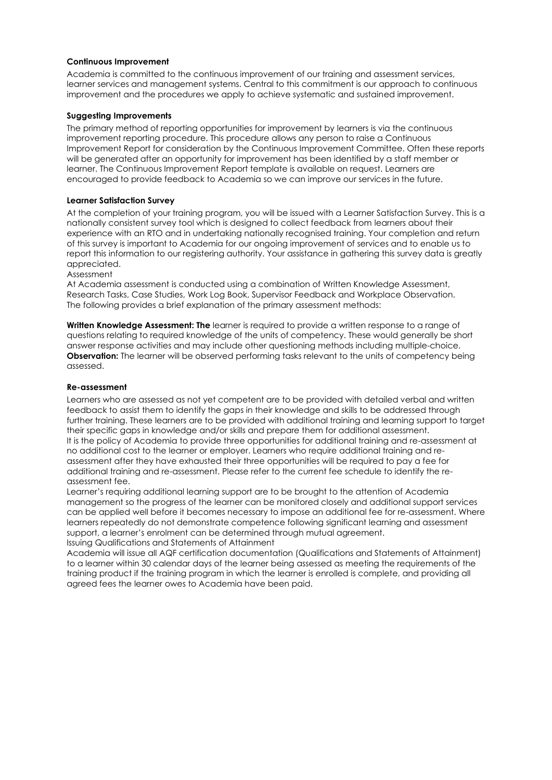#### **Continuous Improvement**

Academia is committed to the continuous improvement of our training and assessment services, learner services and management systems. Central to this commitment is our approach to continuous improvement and the procedures we apply to achieve systematic and sustained improvement.

#### **Suggesting Improvements**

The primary method of reporting opportunities for improvement by learners is via the continuous improvement reporting procedure. This procedure allows any person to raise a Continuous Improvement Report for consideration by the Continuous Improvement Committee. Often these reports will be generated after an opportunity for improvement has been identified by a staff member or learner. The Continuous Improvement Report template is available on request. Learners are encouraged to provide feedback to Academia so we can improve our services in the future.

#### **Learner Satisfaction Survey**

At the completion of your training program, you will be issued with a Learner Satisfaction Survey. This is a nationally consistent survey tool which is designed to collect feedback from learners about their experience with an RTO and in undertaking nationally recognised training. Your completion and return of this survey is important to Academia for our ongoing improvement of services and to enable us to report this information to our registering authority. Your assistance in gathering this survey data is greatly appreciated.

#### Assessment

At Academia assessment is conducted using a combination of Written Knowledge Assessment, Research Tasks, Case Studies, Work Log Book, Supervisor Feedback and Workplace Observation. The following provides a brief explanation of the primary assessment methods:

**Written Knowledge Assessment: The** learner is required to provide a written response to a range of questions relating to required knowledge of the units of competency. These would generally be short answer response activities and may include other questioning methods including multiple-choice. **Observation:** The learner will be observed performing tasks relevant to the units of competency being assessed.

#### **Re-assessment**

Learners who are assessed as not yet competent are to be provided with detailed verbal and written feedback to assist them to identify the gaps in their knowledge and skills to be addressed through further training. These learners are to be provided with additional training and learning support to target their specific gaps in knowledge and/or skills and prepare them for additional assessment. It is the policy of Academia to provide three opportunities for additional training and re-assessment at no additional cost to the learner or employer. Learners who require additional training and reassessment after they have exhausted their three opportunities will be required to pay a fee for additional training and re-assessment. Please refer to the current fee schedule to identify the reassessment fee.

Learner's requiring additional learning support are to be brought to the attention of Academia management so the progress of the learner can be monitored closely and additional support services can be applied well before it becomes necessary to impose an additional fee for re-assessment. Where learners repeatedly do not demonstrate competence following significant learning and assessment support, a learner's enrolment can be determined through mutual agreement. Issuing Qualifications and Statements of Attainment

Academia will issue all AQF certification documentation (Qualifications and Statements of Attainment) to a learner within 30 calendar days of the learner being assessed as meeting the requirements of the training product if the training program in which the learner is enrolled is complete, and providing all agreed fees the learner owes to Academia have been paid.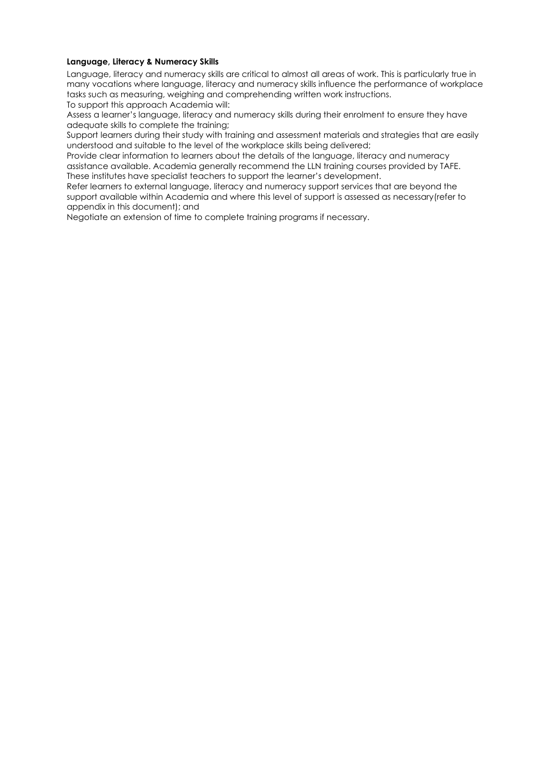#### <span id="page-8-0"></span>**Language, Literacy & Numeracy Skills**

Language, literacy and numeracy skills are critical to almost all areas of work. This is particularly true in many vocations where language, literacy and numeracy skills influence the performance of workplace tasks such as measuring, weighing and comprehending written work instructions.

To support this approach Academia will:

Assess a learner's language, literacy and numeracy skills during their enrolment to ensure they have adequate skills to complete the training;

Support learners during their study with training and assessment materials and strategies that are easily understood and suitable to the level of the workplace skills being delivered;

Provide clear information to learners about the details of the language, literacy and numeracy assistance available. Academia generally recommend the LLN training courses provided by TAFE. These institutes have specialist teachers to support the learner's development.

Refer learners to external language, literacy and numeracy support services that are beyond the support available within Academia and where this level of support is assessed as necessary(refer to appendix in this document); and

Negotiate an extension of time to complete training programs if necessary.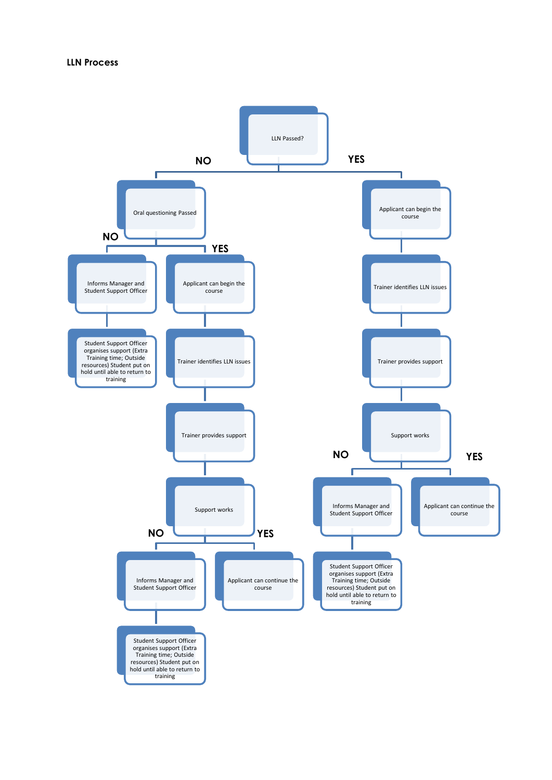# <span id="page-9-0"></span>**LLN Process**

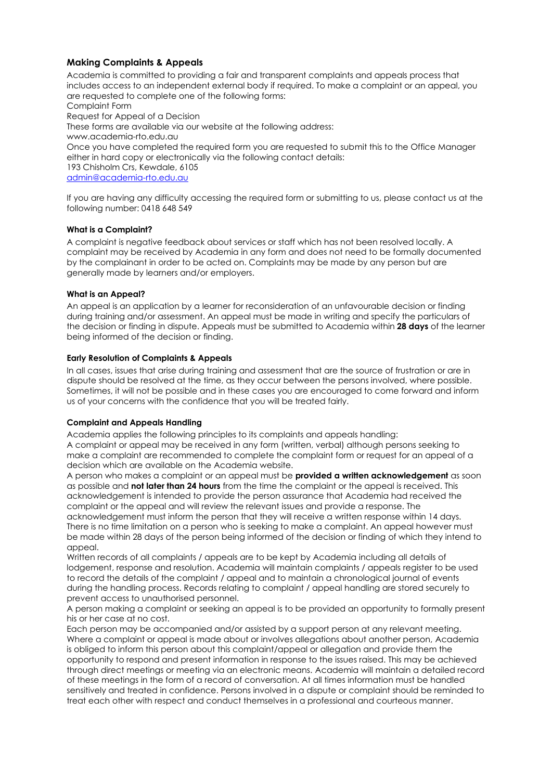# <span id="page-10-0"></span>**Making Complaints & Appeals**

Academia is committed to providing a fair and transparent complaints and appeals process that includes access to an independent external body if required. To make a complaint or an appeal, you are requested to complete one of the following forms: Complaint Form Request for Appeal of a Decision These forms are available via our website at the following address: www.academia-rto.edu.au Once you have completed the required form you are requested to submit this to the Office Manager either in hard copy or electronically via the following contact details: 193 Chisholm Crs, Kewdale, 6105 [admin@academia-rto.edu.au](mailto:admin@academia-rto.edu.au)

If you are having any difficulty accessing the required form or submitting to us, please contact us at the following number: 0418 648 549

# **What is a Complaint?**

A complaint is negative feedback about services or staff which has not been resolved locally. A complaint may be received by Academia in any form and does not need to be formally documented by the complainant in order to be acted on. Complaints may be made by any person but are generally made by learners and/or employers.

#### **What is an Appeal?**

An appeal is an application by a learner for reconsideration of an unfavourable decision or finding during training and/or assessment. An appeal must be made in writing and specify the particulars of the decision or finding in dispute. Appeals must be submitted to Academia within **28 days** of the learner being informed of the decision or finding.

#### **Early Resolution of Complaints & Appeals**

In all cases, issues that arise during training and assessment that are the source of frustration or are in dispute should be resolved at the time, as they occur between the persons involved, where possible. Sometimes, it will not be possible and in these cases you are encouraged to come forward and inform us of your concerns with the confidence that you will be treated fairly.

#### **Complaint and Appeals Handling**

Academia applies the following principles to its complaints and appeals handling: A complaint or appeal may be received in any form (written, verbal) although persons seeking to make a complaint are recommended to complete the complaint form or request for an appeal of a decision which are available on the Academia website.

A person who makes a complaint or an appeal must be **provided a written acknowledgement** as soon as possible and **not later than 24 hours** from the time the complaint or the appeal is received. This acknowledgement is intended to provide the person assurance that Academia had received the complaint or the appeal and will review the relevant issues and provide a response. The acknowledgement must inform the person that they will receive a written response within 14 days. There is no time limitation on a person who is seeking to make a complaint. An appeal however must be made within 28 days of the person being informed of the decision or finding of which they intend to appeal.

Written records of all complaints / appeals are to be kept by Academia including all details of lodgement, response and resolution. Academia will maintain complaints / appeals register to be used to record the details of the complaint / appeal and to maintain a chronological journal of events during the handling process. Records relating to complaint / appeal handling are stored securely to prevent access to unauthorised personnel.

A person making a complaint or seeking an appeal is to be provided an opportunity to formally present his or her case at no cost.

Each person may be accompanied and/or assisted by a support person at any relevant meeting. Where a complaint or appeal is made about or involves allegations about another person, Academia is obliged to inform this person about this complaint/appeal or allegation and provide them the opportunity to respond and present information in response to the issues raised. This may be achieved through direct meetings or meeting via an electronic means. Academia will maintain a detailed record of these meetings in the form of a record of conversation. At all times information must be handled sensitively and treated in confidence. Persons involved in a dispute or complaint should be reminded to treat each other with respect and conduct themselves in a professional and courteous manner.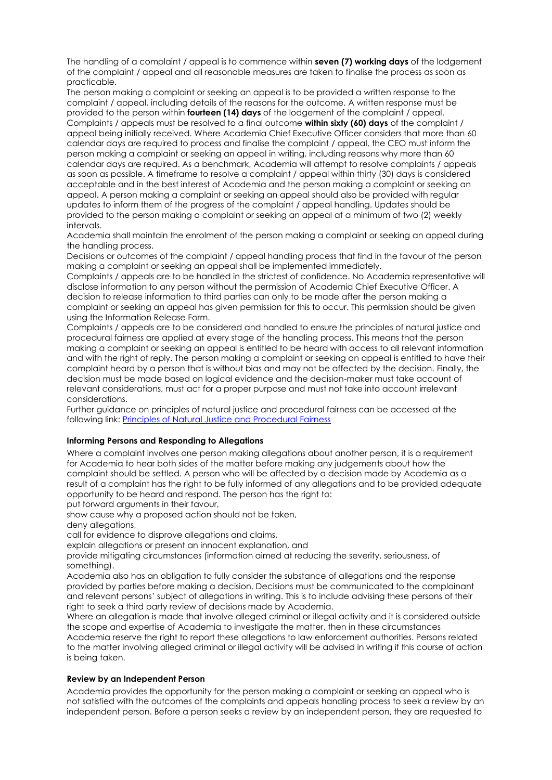The handling of a complaint / appeal is to commence within **seven (7) working days** of the lodgement of the complaint / appeal and all reasonable measures are taken to finalise the process as soon as practicable.

The person making a complaint or seeking an appeal is to be provided a written response to the complaint / appeal, including details of the reasons for the outcome. A written response must be provided to the person within **fourteen (14) days** of the lodgement of the complaint / appeal. Complaints / appeals must be resolved to a final outcome **within sixty (60) days** of the complaint / appeal being initially received. Where Academia Chief Executive Officer considers that more than 60 calendar days are required to process and finalise the complaint / appeal, the CEO must inform the person making a complaint or seeking an appeal in writing, including reasons why more than 60 calendar days are required. As a benchmark, Academia will attempt to resolve complaints / appeals as soon as possible. A timeframe to resolve a complaint / appeal within thirty (30) days is considered acceptable and in the best interest of Academia and the person making a complaint or seeking an appeal. A person making a complaint or seeking an appeal should also be provided with regular updates to inform them of the progress of the complaint / appeal handling. Updates should be provided to the person making a complaint or seeking an appeal at a minimum of two (2) weekly intervals.

Academia shall maintain the enrolment of the person making a complaint or seeking an appeal during the handling process.

Decisions or outcomes of the complaint / appeal handling process that find in the favour of the person making a complaint or seeking an appeal shall be implemented immediately.

Complaints / appeals are to be handled in the strictest of confidence. No Academia representative will disclose information to any person without the permission of Academia Chief Executive Officer. A decision to release information to third parties can only to be made after the person making a complaint or seeking an appeal has given permission for this to occur. This permission should be given using the Information Release Form.

Complaints / appeals are to be considered and handled to ensure the principles of natural justice and procedural fairness are applied at every stage of the handling process. This means that the person making a complaint or seeking an appeal is entitled to be heard with access to all relevant information and with the right of reply. The person making a complaint or seeking an appeal is entitled to have their complaint heard by a person that is without bias and may not be affected by the decision. Finally, the decision must be made based on logical evidence and the decision-maker must take account of relevant considerations, must act for a proper purpose and must not take into account irrelevant considerations.

Further guidance on principles of natural justice and procedural fairness can be accessed at the following link: [Principles of Natural Justice and Procedural Fairness](http://www.ombo.nsw.gov.au/__data/assets/pdf_file/0017/3707/FS_PSA_14_Natural_justice_Procedural_fairness.pdf)

#### **Informing Persons and Responding to Allegations**

Where a complaint involves one person making allegations about another person, it is a requirement for Academia to hear both sides of the matter before making any judgements about how the complaint should be settled. A person who will be affected by a decision made by Academia as a result of a complaint has the right to be fully informed of any allegations and to be provided adequate opportunity to be heard and respond. The person has the right to:

put forward arguments in their favour,

show cause why a proposed action should not be taken,

deny allegations.

call for evidence to disprove allegations and claims,

explain allegations or present an innocent explanation, and

provide mitigating circumstances (information aimed at reducing the severity, seriousness, of something).

Academia also has an obligation to fully consider the substance of allegations and the response provided by parties before making a decision. Decisions must be communicated to the complainant and relevant persons' subject of allegations in writing. This is to include advising these persons of their right to seek a third party review of decisions made by Academia.

Where an allegation is made that involve alleged criminal or illegal activity and it is considered outside the scope and expertise of Academia to investigate the matter, then in these circumstances Academia reserve the right to report these allegations to law enforcement authorities. Persons related to the matter involving alleged criminal or illegal activity will be advised in writing if this course of action is being taken.

#### **Review by an Independent Person**

Academia provides the opportunity for the person making a complaint or seeking an appeal who is not satisfied with the outcomes of the complaints and appeals handling process to seek a review by an independent person. Before a person seeks a review by an independent person, they are requested to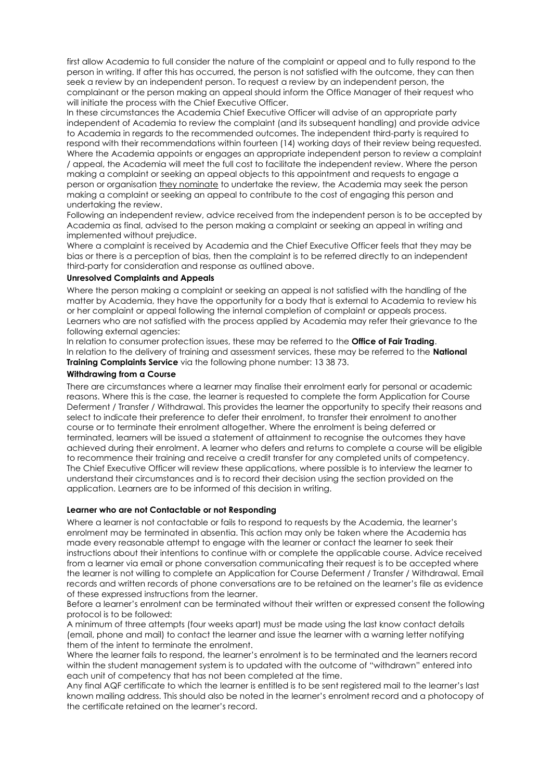first allow Academia to full consider the nature of the complaint or appeal and to fully respond to the person in writing. If after this has occurred, the person is not satisfied with the outcome, they can then seek a review by an independent person. To request a review by an independent person, the complainant or the person making an appeal should inform the Office Manager of their request who will initiate the process with the Chief Executive Officer.

In these circumstances the Academia Chief Executive Officer will advise of an appropriate party independent of Academia to review the complaint (and its subsequent handling) and provide advice to Academia in regards to the recommended outcomes. The independent third-party is required to respond with their recommendations within fourteen (14) working days of their review being requested. Where the Academia appoints or engages an appropriate independent person to review a complaint / appeal, the Academia will meet the full cost to facilitate the independent review. Where the person making a complaint or seeking an appeal objects to this appointment and requests to engage a person or organisation they nominate to undertake the review, the Academia may seek the person making a complaint or seeking an appeal to contribute to the cost of engaging this person and undertaking the review.

Following an independent review, advice received from the independent person is to be accepted by Academia as final, advised to the person making a complaint or seeking an appeal in writing and implemented without prejudice.

Where a complaint is received by Academia and the Chief Executive Officer feels that they may be bias or there is a perception of bias, then the complaint is to be referred directly to an independent third-party for consideration and response as outlined above.

#### <span id="page-12-0"></span>**Unresolved Complaints and Appeals**

Where the person making a complaint or seeking an appeal is not satisfied with the handling of the matter by Academia, they have the opportunity for a body that is external to Academia to review his or her complaint or appeal following the internal completion of complaint or appeals process. Learners who are not satisfied with the process applied by Academia may refer their grievance to the following external agencies:

In relation to consumer protection issues, these may be referred to the **Office of Fair Trading**. In relation to the delivery of training and assessment services, these may be referred to the **National Training Complaints Service** via the following phone number: 13 38 73.

#### <span id="page-12-1"></span>**Withdrawing from a Course**

There are circumstances where a learner may finalise their enrolment early for personal or academic reasons. Where this is the case, the learner is requested to complete the form Application for Course Deferment / Transfer / Withdrawal. This provides the learner the opportunity to specify their reasons and select to indicate their preference to defer their enrolment, to transfer their enrolment to another course or to terminate their enrolment altogether. Where the enrolment is being deferred or terminated, learners will be issued a statement of attainment to recognise the outcomes they have achieved during their enrolment. A learner who defers and returns to complete a course will be eligible to recommence their training and receive a credit transfer for any completed units of competency. The Chief Executive Officer will review these applications, where possible is to interview the learner to understand their circumstances and is to record their decision using the section provided on the application. Learners are to be informed of this decision in writing.

# **Learner who are not Contactable or not Responding**

Where a learner is not contactable or fails to respond to requests by the Academia, the learner's enrolment may be terminated in absentia. This action may only be taken where the Academia has made every reasonable attempt to engage with the learner or contact the learner to seek their instructions about their intentions to continue with or complete the applicable course. Advice received from a learner via email or phone conversation communicating their request is to be accepted where the learner is not willing to complete an Application for Course Deferment / Transfer / Withdrawal. Email records and written records of phone conversations are to be retained on the learner's file as evidence of these expressed instructions from the learner.

Before a learner's enrolment can be terminated without their written or expressed consent the following protocol is to be followed:

A minimum of three attempts (four weeks apart) must be made using the last know contact details (email, phone and mail) to contact the learner and issue the learner with a warning letter notifying them of the intent to terminate the enrolment.

Where the learner fails to respond, the learner's enrolment is to be terminated and the learners record within the student management system is to updated with the outcome of "withdrawn" entered into each unit of competency that has not been completed at the time.

Any final AQF certificate to which the learner is entitled is to be sent registered mail to the learner's last known mailing address. This should also be noted in the learner's enrolment record and a photocopy of the certificate retained on the learner's record.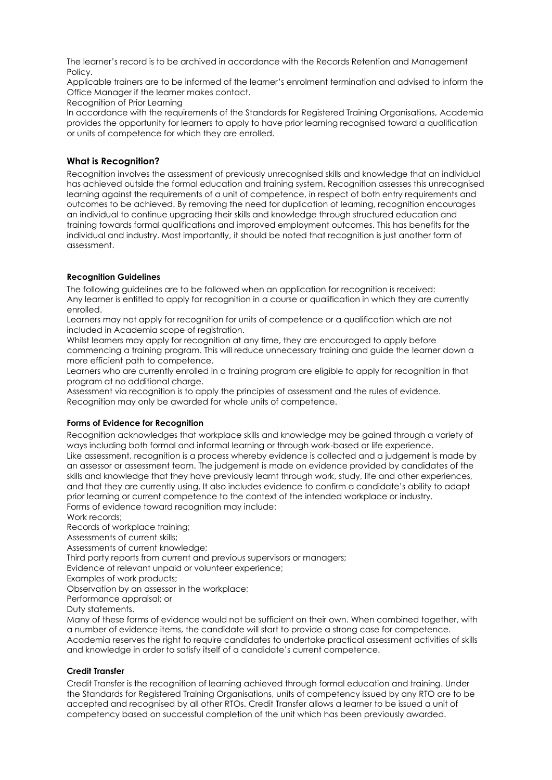The learner's record is to be archived in accordance with the Records Retention and Management Policy.

Applicable trainers are to be informed of the learner's enrolment termination and advised to inform the Office Manager if the learner makes contact.

Recognition of Prior Learning

In accordance with the requirements of the Standards for Registered Training Organisations, Academia provides the opportunity for learners to apply to have prior learning recognised toward a qualification or units of competence for which they are enrolled.

# <span id="page-13-0"></span>**What is Recognition?**

Recognition involves the assessment of previously unrecognised skills and knowledge that an individual has achieved outside the formal education and training system. Recognition assesses this unrecognised learning against the requirements of a unit of competence, in respect of both entry requirements and outcomes to be achieved. By removing the need for duplication of learning, recognition encourages an individual to continue upgrading their skills and knowledge through structured education and training towards formal qualifications and improved employment outcomes. This has benefits for the individual and industry. Most importantly, it should be noted that recognition is just another form of assessment.

#### **Recognition Guidelines**

The following guidelines are to be followed when an application for recognition is received: Any learner is entitled to apply for recognition in a course or qualification in which they are currently enrolled.

Learners may not apply for recognition for units of competence or a qualification which are not included in Academia scope of registration.

Whilst learners may apply for recognition at any time, they are encouraged to apply before commencing a training program. This will reduce unnecessary training and guide the learner down a more efficient path to competence.

Learners who are currently enrolled in a training program are eligible to apply for recognition in that program at no additional charge.

Assessment via recognition is to apply the principles of assessment and the rules of evidence. Recognition may only be awarded for whole units of competence.

#### **Forms of Evidence for Recognition**

Recognition acknowledges that workplace skills and knowledge may be gained through a variety of ways including both formal and informal learning or through work-based or life experience. Like assessment, recognition is a process whereby evidence is collected and a judgement is made by an assessor or assessment team. The judgement is made on evidence provided by candidates of the skills and knowledge that they have previously learnt through work, study, life and other experiences, and that they are currently using. It also includes evidence to confirm a candidate's ability to adapt prior learning or current competence to the context of the intended workplace or industry. Forms of evidence toward recognition may include:

Work records;

Records of workplace training;

Assessments of current skills;

Assessments of current knowledge;

Third party reports from current and previous supervisors or managers;

Evidence of relevant unpaid or volunteer experience;

Examples of work products;

Observation by an assessor in the workplace;

Performance appraisal; or

Duty statements.

Many of these forms of evidence would not be sufficient on their own. When combined together, with a number of evidence items, the candidate will start to provide a strong case for competence. Academia reserves the right to require candidates to undertake practical assessment activities of skills and knowledge in order to satisfy itself of a candidate's current competence.

#### **Credit Transfer**

Credit Transfer is the recognition of learning achieved through formal education and training. Under the Standards for Registered Training Organisations, units of competency issued by any RTO are to be accepted and recognised by all other RTOs. Credit Transfer allows a learner to be issued a unit of competency based on successful completion of the unit which has been previously awarded.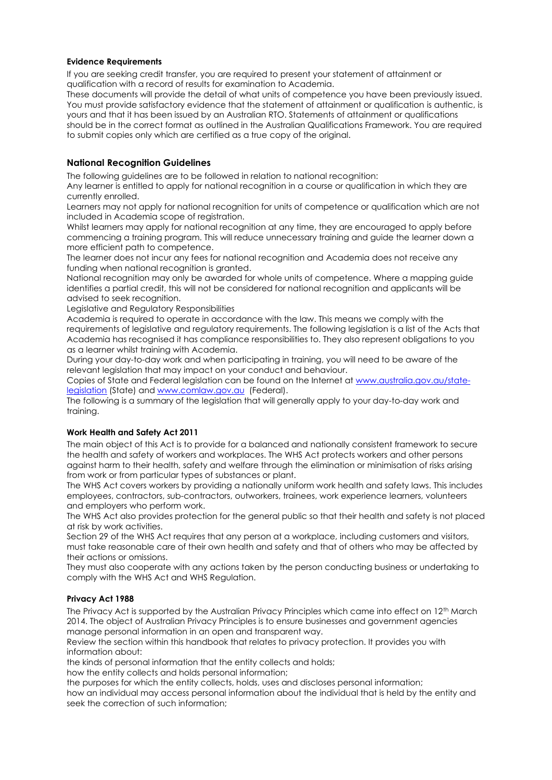# **Evidence Requirements**

If you are seeking credit transfer, you are required to present your statement of attainment or qualification with a record of results for examination to Academia.

These documents will provide the detail of what units of competence you have been previously issued. You must provide satisfactory evidence that the statement of attainment or qualification is authentic, is yours and that it has been issued by an Australian RTO. Statements of attainment or qualifications should be in the correct format as outlined in the Australian Qualifications Framework. You are required to submit copies only which are certified as a true copy of the original.

# <span id="page-14-0"></span>**National Recognition Guidelines**

The following guidelines are to be followed in relation to national recognition:

Any learner is entitled to apply for national recognition in a course or qualification in which they are currently enrolled.

Learners may not apply for national recognition for units of competence or qualification which are not included in Academia scope of registration.

Whilst learners may apply for national recognition at any time, they are encouraged to apply before commencing a training program. This will reduce unnecessary training and guide the learner down a more efficient path to competence.

The learner does not incur any fees for national recognition and Academia does not receive any funding when national recognition is granted.

National recognition may only be awarded for whole units of competence. Where a mapping guide identifies a partial credit, this will not be considered for national recognition and applicants will be advised to seek recognition.

Legislative and Regulatory Responsibilities

Academia is required to operate in accordance with the law. This means we comply with the requirements of legislative and regulatory requirements. The following legislation is a list of the Acts that Academia has recognised it has compliance responsibilities to. They also represent obligations to you as a learner whilst training with Academia.

During your day-to-day work and when participating in training, you will need to be aware of the relevant legislation that may impact on your conduct and behaviour.

Copies of State and Federal legislation can be found on the Internet at [www.australia.gov.au/state](http://australia.gov.au/topics/law-and-justice/legislation/state-legislation)[legislation](http://australia.gov.au/topics/law-and-justice/legislation/state-legislation) (State) an[d www.comlaw.gov.au](http://www.comlaw.gov.au/) (Federal).

The following is a summary of the legislation that will generally apply to your day-to-day work and training.

# **Work Health and Safety Act 2011**

The main object of this Act is to provide for a balanced and nationally consistent framework to secure the health and safety of workers and workplaces. The WHS Act protects workers and other persons against harm to their health, safety and welfare through the elimination or minimisation of risks arising from work or from particular types of substances or plant.

The WHS Act covers workers by providing a nationally uniform work health and safety laws. This includes employees, contractors, sub-contractors, outworkers, trainees, work experience learners, volunteers and employers who perform work.

The WHS Act also provides protection for the general public so that their health and safety is not placed at risk by work activities.

Section 29 of the WHS Act requires that any person at a workplace, including customers and visitors, must take reasonable care of their own health and safety and that of others who may be affected by their actions or omissions.

They must also cooperate with any actions taken by the person conducting business or undertaking to comply with the WHS Act and WHS Regulation.

#### **Privacy Act 1988**

The Privacy Act is supported by the Australian Privacy Principles which came into effect on 12<sup>th</sup> March 2014. The object of Australian Privacy Principles is to ensure businesses and government agencies manage personal information in an open and transparent way.

Review the section within this handbook that relates to privacy protection. It provides you with information about:

the kinds of personal information that the entity collects and holds;

how the entity collects and holds personal information;

the purposes for which the entity collects, holds, uses and discloses personal information;

how an individual may access personal information about the individual that is held by the entity and seek the correction of such information;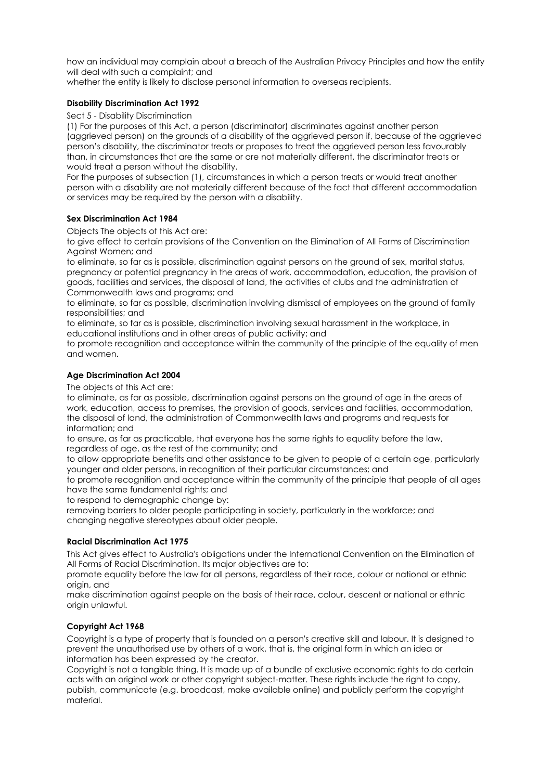how an individual may complain about a breach of the Australian Privacy Principles and how the entity will deal with such a complaint; and

whether the entity is likely to disclose personal information to overseas recipients.

#### **Disability Discrimination Act 1992**

Sect 5 - Disability Discrimination

(1) For the purposes of this Act, a person (discriminator) discriminates against another person (aggrieved person) on the grounds of a disability of the aggrieved person if, because of the aggrieved person's disability, the discriminator treats or proposes to treat the aggrieved person less favourably than, in circumstances that are the same or are not materially different, the discriminator treats or would treat a person without the disability.

For the purposes of subsection (1), circumstances in which a person treats or would treat another person with a disability are not materially different because of the fact that different accommodation or services may be required by the person with a disability.

#### **Sex Discrimination Act 1984**

Objects The objects of this Act are:

to give effect to certain provisions of the Convention on the Elimination of All Forms of Discrimination Against Women; and

to eliminate, so far as is possible, discrimination against persons on the ground of sex, marital status, pregnancy or potential pregnancy in the areas of work, accommodation, education, the provision of goods, facilities and services, the disposal of land, the activities of clubs and the administration of Commonwealth laws and programs; and

to eliminate, so far as possible, discrimination involving dismissal of employees on the ground of family responsibilities; and

to eliminate, so far as is possible, discrimination involving sexual harassment in the workplace, in educational institutions and in other areas of public activity; and

to promote recognition and acceptance within the community of the principle of the equality of men and women.

# **Age Discrimination Act 2004**

The objects of this Act are:

to eliminate, as far as possible, discrimination against persons on the ground of age in the areas of work, education, access to premises, the provision of goods, services and facilities, accommodation, the disposal of land, the administration of Commonwealth laws and programs and requests for information; and

to ensure, as far as practicable, that everyone has the same rights to equality before the law, regardless of age, as the rest of the community; and

to allow appropriate benefits and other assistance to be given to people of a certain age, particularly younger and older persons, in recognition of their particular circumstances; and

to promote recognition and acceptance within the community of the principle that people of all ages have the same fundamental rights; and

to respond to demographic change by:

removing barriers to older people participating in society, particularly in the workforce; and changing negative stereotypes about older people.

#### **Racial Discrimination Act 1975**

This Act gives effect to Australia's obligations under the International Convention on the Elimination of All Forms of Racial Discrimination. Its major objectives are to:

promote equality before the law for all persons, regardless of their race, colour or national or ethnic origin, and

make discrimination against people on the basis of their race, colour, descent or national or ethnic origin unlawful.

# **Copyright Act 1968**

Copyright is a type of property that is founded on a person's creative skill and labour. It is designed to prevent the unauthorised use by others of a work, that is, the original form in which an idea or information has been expressed by the creator.

Copyright is not a tangible thing. It is made up of a bundle of exclusive economic rights to do certain acts with an original work or other copyright subject-matter. These rights include the right to copy, publish, communicate (e.g. broadcast, make available online) and publicly perform the copyright material.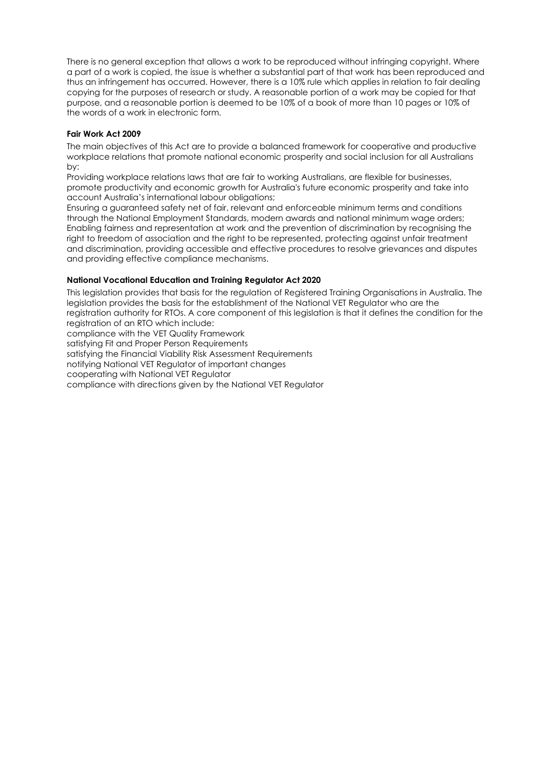There is no general exception that allows a work to be reproduced without infringing copyright. Where a part of a work is copied, the issue is whether a substantial part of that work has been reproduced and thus an infringement has occurred. However, there is a 10% rule which applies in relation to fair dealing copying for the purposes of research or study. A reasonable portion of a work may be copied for that purpose, and a reasonable portion is deemed to be 10% of a book of more than 10 pages or 10% of the words of a work in electronic form.

#### **Fair Work Act 2009**

The main objectives of this Act are to provide a balanced framework for cooperative and productive workplace relations that promote national economic prosperity and social inclusion for all Australians by:

Providing workplace relations laws that are fair to working Australians, are flexible for businesses, promote productivity and economic growth for Australia's future economic prosperity and take into account Australia's international labour obligations;

Ensuring a guaranteed safety net of fair, relevant and enforceable minimum terms and conditions through the National Employment Standards, modern awards and national minimum wage orders; Enabling fairness and representation at work and the prevention of discrimination by recognising the right to freedom of association and the right to be represented, protecting against unfair treatment and discrimination, providing accessible and effective procedures to resolve grievances and disputes and providing effective compliance mechanisms.

# **National Vocational Education and Training Regulator Act 2020**

This legislation provides that basis for the regulation of Registered Training Organisations in Australia. The legislation provides the basis for the establishment of the National VET Regulator who are the registration authority for RTOs. A core component of this legislation is that it defines the condition for the registration of an RTO which include:

compliance with the VET Quality Framework

satisfying Fit and Proper Person Requirements

satisfying the Financial Viability Risk Assessment Requirements

notifying National VET Regulator of important changes

cooperating with National VET Regulator

compliance with directions given by the National VET Regulator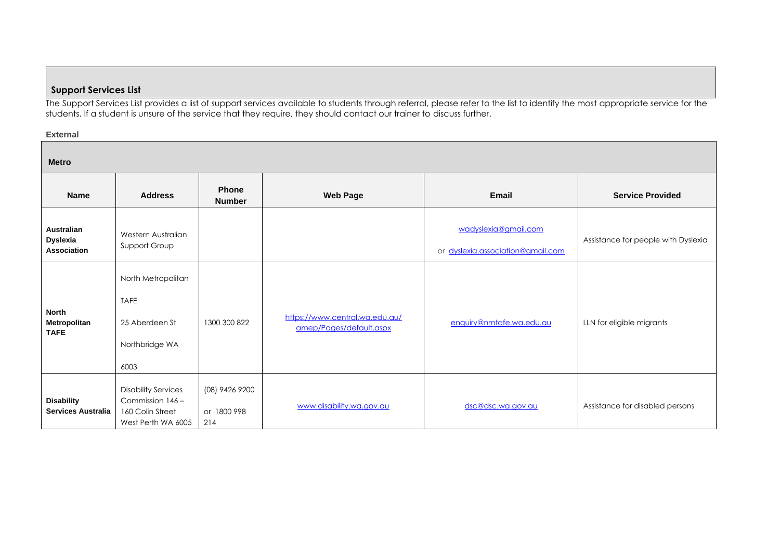# **Support Services List**

The Support Services List provides a list of support services available to students through referral, please refer to the list to identify the most appropriate service for the students. If a student is unsure of the service that they require, they should contact our trainer to discuss further.

# **External**

<span id="page-17-0"></span>

| <b>Metro</b>                                               |                                                                                          |                                      |                                                           |                                                           |                                     |
|------------------------------------------------------------|------------------------------------------------------------------------------------------|--------------------------------------|-----------------------------------------------------------|-----------------------------------------------------------|-------------------------------------|
| Name                                                       | <b>Address</b>                                                                           | <b>Phone</b><br><b>Number</b>        | <b>Web Page</b>                                           | Email                                                     | <b>Service Provided</b>             |
| <b>Australian</b><br><b>Dyslexia</b><br><b>Association</b> | Western Australian<br>Support Group                                                      |                                      |                                                           | wadyslexia@gmail.com<br>or dyslexia.association@gmail.com | Assistance for people with Dyslexia |
| <b>North</b><br>Metropolitan<br><b>TAFE</b>                | North Metropolitan<br><b>TAFE</b><br>25 Aberdeen St<br>Northbridge WA<br>6003            | 1300 300 822                         | https://www.central.wa.edu.au/<br>amep/Pages/default.aspx | enquiry@nmtafe.wa.edu.au                                  | LLN for eligible migrants           |
| <b>Disability</b><br><b>Services Australia</b>             | <b>Disability Services</b><br>Commission 146 -<br>160 Colin Street<br>West Perth WA 6005 | (08) 9426 9200<br>or 1800 998<br>214 | www.disability.wa.gov.au                                  | dsc@dsc.wa.gov.au                                         | Assistance for disabled persons     |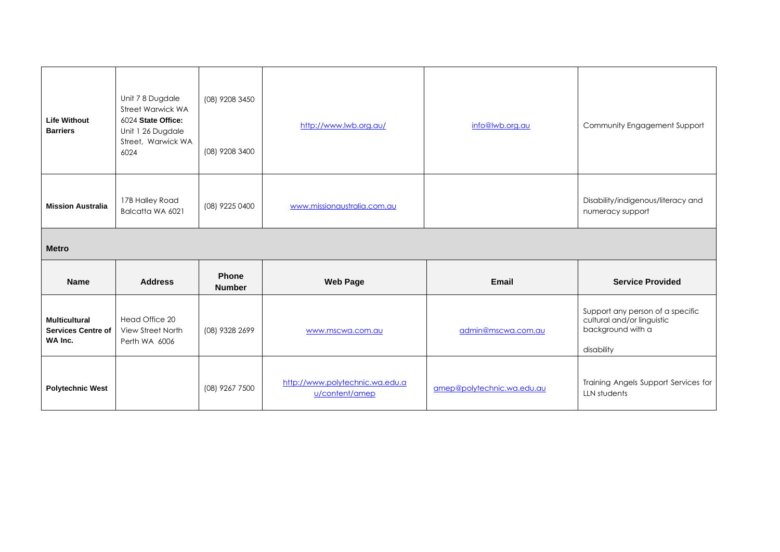| <b>Life Without</b><br><b>Barriers</b>                       | Unit 7 8 Dugdale<br>Street Warwick WA<br>6024 State Office:<br>Unit 1 26 Dugdale<br>Street, Warwick WA<br>6024 | (08) 9208 3450<br>(08) 9208 3400 | http://www.lwb.org.au/      | info@lwb.org.au    | Community Engagement Support                                                                      |  |  |
|--------------------------------------------------------------|----------------------------------------------------------------------------------------------------------------|----------------------------------|-----------------------------|--------------------|---------------------------------------------------------------------------------------------------|--|--|
| <b>Mission Australia</b>                                     | 17B Halley Road<br>Balcatta WA 6021                                                                            | (08) 9225 0400                   | www.missionaustralia.com.au |                    | Disability/indigenous/literacy and<br>numeracy support                                            |  |  |
| <b>Metro</b>                                                 |                                                                                                                |                                  |                             |                    |                                                                                                   |  |  |
|                                                              |                                                                                                                |                                  |                             |                    |                                                                                                   |  |  |
| <b>Name</b>                                                  | <b>Address</b>                                                                                                 | Phone<br><b>Number</b>           | <b>Web Page</b>             | Email              | <b>Service Provided</b>                                                                           |  |  |
| <b>Multicultural</b><br><b>Services Centre of</b><br>WA Inc. | Head Office 20<br>View Street North<br>Perth WA 6006                                                           | (08) 9328 2699                   | www.mscwa.com.au            | admin@mscwa.com.au | Support any person of a specific<br>cultural and/or linguistic<br>background with a<br>disability |  |  |